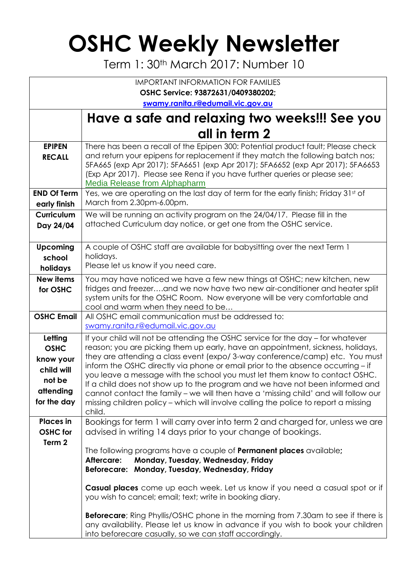## **OSHC Weekly Newsletter**

Term 1: 30th March 2017: Number 10

| <b>IMPORTANT INFORMATION FOR FAMILIES</b>                                               |                                                                                                                                                                                                                                                                                                                                                                                                                                                                                                                                                                                                                                                                                             |  |  |  |  |  |  |  |
|-----------------------------------------------------------------------------------------|---------------------------------------------------------------------------------------------------------------------------------------------------------------------------------------------------------------------------------------------------------------------------------------------------------------------------------------------------------------------------------------------------------------------------------------------------------------------------------------------------------------------------------------------------------------------------------------------------------------------------------------------------------------------------------------------|--|--|--|--|--|--|--|
| OSHC Service: 93872631/0409380202;                                                      |                                                                                                                                                                                                                                                                                                                                                                                                                                                                                                                                                                                                                                                                                             |  |  |  |  |  |  |  |
| swamy.ranita.r@edumail.vic.gov.au                                                       |                                                                                                                                                                                                                                                                                                                                                                                                                                                                                                                                                                                                                                                                                             |  |  |  |  |  |  |  |
|                                                                                         | Have a safe and relaxing two weeks!!! See you                                                                                                                                                                                                                                                                                                                                                                                                                                                                                                                                                                                                                                               |  |  |  |  |  |  |  |
|                                                                                         | all in term 2                                                                                                                                                                                                                                                                                                                                                                                                                                                                                                                                                                                                                                                                               |  |  |  |  |  |  |  |
| <b>EPIPEN</b><br><b>RECALL</b>                                                          | There has been a recall of the Epipen 300: Potential product fault; Please check<br>and return your epipens for replacement if they match the following batch nos;<br>5FA665 (exp Apr 2017); 5FA6651 (exp Apr 2017); 5FA6652 (exp Apr 2017); 5FA6653<br>(Exp Apr 2017). Please see Rena if you have further queries or please see;<br>Media Release from Alphapharm                                                                                                                                                                                                                                                                                                                         |  |  |  |  |  |  |  |
| <b>END Of Term</b><br>early finish                                                      | Yes, we are operating on the last day of term for the early finish; Friday 31st of<br>March from 2.30pm-6.00pm.                                                                                                                                                                                                                                                                                                                                                                                                                                                                                                                                                                             |  |  |  |  |  |  |  |
| <b>Curriculum</b><br>Day 24/04                                                          | We will be running an activity program on the 24/04/17. Please fill in the<br>attached Curriculum day notice, or get one from the OSHC service.                                                                                                                                                                                                                                                                                                                                                                                                                                                                                                                                             |  |  |  |  |  |  |  |
| <b>Upcoming</b><br>school<br>holidays                                                   | A couple of OSHC staff are available for babysitting over the next Term 1<br>holidays.<br>Please let us know if you need care.                                                                                                                                                                                                                                                                                                                                                                                                                                                                                                                                                              |  |  |  |  |  |  |  |
| <b>New items</b><br>for OSHC                                                            | You may have noticed we have a few new things at OSHC; new kitchen, new<br>fridges and freezerand we now have two new air-conditioner and heater split<br>system units for the OSHC Room. Now everyone will be very comfortable and<br>cool and warm when they need to be                                                                                                                                                                                                                                                                                                                                                                                                                   |  |  |  |  |  |  |  |
| <b>OSHC Email</b>                                                                       | All OSHC email communication must be addressed to:<br>swamy.ranita.r@edumail.vic.gov.au                                                                                                                                                                                                                                                                                                                                                                                                                                                                                                                                                                                                     |  |  |  |  |  |  |  |
| Letting<br><b>OSHC</b><br>know your<br>child will<br>not be<br>attending<br>for the day | If your child will not be attending the OSHC service for the day – for whatever<br>reason; you are picking them up early, have an appointment, sickness, holidays,<br>they are attending a class event (expo/3-way conference/camp) etc. You must<br>inform the OSHC directly via phone or email prior to the absence occurring - if<br>you leave a message with the school you must let them know to contact OSHC.<br>If a child does not show up to the program and we have not been informed and<br>cannot contact the family – we will then have a 'missing child' and will follow our<br>missing children policy - which will involve calling the police to report a missing<br>child. |  |  |  |  |  |  |  |
| <b>Places</b> in<br><b>OSHC</b> for<br>Term 2                                           | Bookings for term 1 will carry over into term 2 and charged for, unless we are<br>advised in writing 14 days prior to your change of bookings.<br>The following programs have a couple of <b>Permanent places</b> available;                                                                                                                                                                                                                                                                                                                                                                                                                                                                |  |  |  |  |  |  |  |
|                                                                                         | Monday, Tuesday, Wednesday, Friday<br>Aftercare:<br>Beforecare: Monday, Tuesday, Wednesday, Friday<br>Casual places come up each week. Let us know if you need a casual spot or if                                                                                                                                                                                                                                                                                                                                                                                                                                                                                                          |  |  |  |  |  |  |  |
|                                                                                         | you wish to cancel; email; text; write in booking diary.<br><b>Beforecare</b> ; Ring Phyllis/OSHC phone in the morning from 7.30am to see if there is<br>any availability. Please let us know in advance if you wish to book your children<br>into beforecare casually, so we can staff accordingly.                                                                                                                                                                                                                                                                                                                                                                                        |  |  |  |  |  |  |  |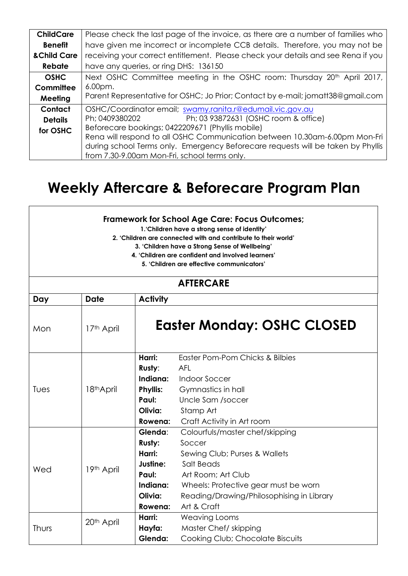| <b>ChildCare</b> | Please check the last page of the invoice, as there are a number of families who    |  |  |  |
|------------------|-------------------------------------------------------------------------------------|--|--|--|
| <b>Benefit</b>   | have given me incorrect or incomplete CCB details. Therefore, you may not be        |  |  |  |
| & Child Care     | receiving your correct entitlement. Please check your details and see Rena if you   |  |  |  |
| <b>Rebate</b>    | have any queries, or ring DHS: 136150                                               |  |  |  |
| <b>OSHC</b>      | Next OSHC Committee meeting in the OSHC room: Thursday 20 <sup>th</sup> April 2017, |  |  |  |
| Committee        | 6.00pm.                                                                             |  |  |  |
| Meeting          | Parent Representative for OSHC; Jo Prior; Contact by e-mail; jomatt38@gmail.com     |  |  |  |
| Contact          | OSHC/Coordinator email; swamy.ranita.r@edumail.vic.gov.au                           |  |  |  |
| <b>Details</b>   | Ph; 03 93872631 (OSHC room & office)<br>Ph; 0409380202                              |  |  |  |
| for OSHC         | Beforecare bookings; 0422209671 (Phyllis mobile)                                    |  |  |  |
|                  | Rena will respond to all OSHC Communication between 10.30am-6.00pm Mon-Fri          |  |  |  |
|                  | during school Terms only. Emergency Beforecare requests will be taken by Phyllis    |  |  |  |
|                  | from 7.30-9.00am Mon-Fri, school terms only.                                        |  |  |  |

## **Weekly Aftercare & Beforecare Program Plan**

| <b>Framework for School Age Care: Focus Outcomes;</b><br>1. Children have a strong sense of identity'<br>2. 'Children are connected with and contribute to their world'<br>3. 'Children have a Strong Sense of Wellbeing'<br>4. 'Children are confident and involved learners'<br>5. 'Children are effective communicators' |                        |                                                                                    |                                                                                                                                                                                                                    |  |  |  |  |
|-----------------------------------------------------------------------------------------------------------------------------------------------------------------------------------------------------------------------------------------------------------------------------------------------------------------------------|------------------------|------------------------------------------------------------------------------------|--------------------------------------------------------------------------------------------------------------------------------------------------------------------------------------------------------------------|--|--|--|--|
| <b>AFTERCARE</b>                                                                                                                                                                                                                                                                                                            |                        |                                                                                    |                                                                                                                                                                                                                    |  |  |  |  |
| Day                                                                                                                                                                                                                                                                                                                         | <b>Date</b>            | <b>Activity</b>                                                                    |                                                                                                                                                                                                                    |  |  |  |  |
| Mon                                                                                                                                                                                                                                                                                                                         | 17th April             |                                                                                    | <b>Easter Monday: OSHC CLOSED</b>                                                                                                                                                                                  |  |  |  |  |
| Tues                                                                                                                                                                                                                                                                                                                        | 18th April             | Harri:<br>Rusty:<br>Indiana:<br><b>Phyllis:</b><br>Paul:<br>Olivia:<br>Rowena:     | Easter Pom-Pom Chicks & Bilbies<br><b>AFL</b><br><b>Indoor Soccer</b><br>Gymnastics in hall<br>Uncle Sam /soccer<br>Stamp Art<br>Craft Activity in Art room                                                        |  |  |  |  |
| Wed                                                                                                                                                                                                                                                                                                                         | 19th April             | Glenda:<br>Rusty:<br>Harri:<br>Justine:<br>Paul:<br>Indiana:<br>Olivia:<br>Rowena: | Colourfuls/master chef/skipping<br>Soccer<br>Sewing Club; Purses & Wallets<br>Salt Beads<br>Art Room: Art Club<br>Wheels: Protective gear must be worn<br>Reading/Drawing/Philosophising in Library<br>Art & Craft |  |  |  |  |
| Thurs                                                                                                                                                                                                                                                                                                                       | 20 <sup>th</sup> April | Harri:<br>Hayfa:<br>Glenda:                                                        | <b>Weaving Looms</b><br>Master Chef/ skipping<br>Cooking Club; Chocolate Biscuits                                                                                                                                  |  |  |  |  |